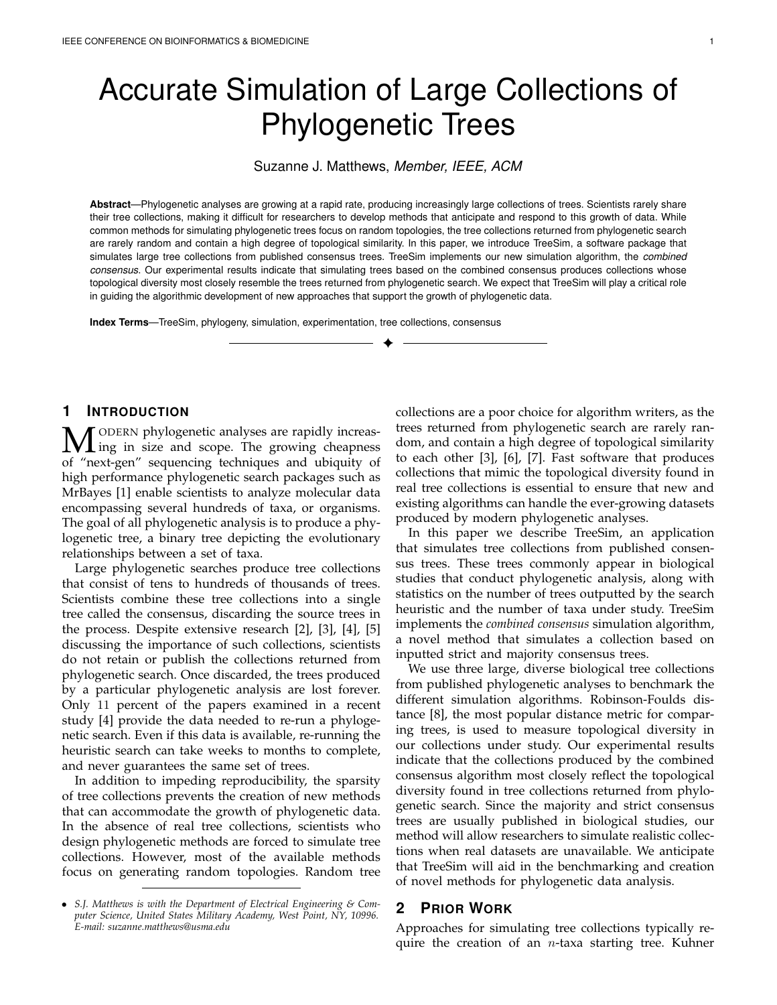# Accurate Simulation of Large Collections of Phylogenetic Trees

#### Suzanne J. Matthews, *Member, IEEE, ACM*

**Abstract**—Phylogenetic analyses are growing at a rapid rate, producing increasingly large collections of trees. Scientists rarely share their tree collections, making it difficult for researchers to develop methods that anticipate and respond to this growth of data. While common methods for simulating phylogenetic trees focus on random topologies, the tree collections returned from phylogenetic search are rarely random and contain a high degree of topological similarity. In this paper, we introduce TreeSim, a software package that simulates large tree collections from published consensus trees. TreeSim implements our new simulation algorithm, the *combined consensus*. Our experimental results indicate that simulating trees based on the combined consensus produces collections whose topological diversity most closely resemble the trees returned from phylogenetic search. We expect that TreeSim will play a critical role in guiding the algorithmic development of new approaches that support the growth of phylogenetic data.

✦

**Index Terms**—TreeSim, phylogeny, simulation, experimentation, tree collections, consensus

# **1 INTRODUCTION**

**M** ODERN phylogenetic analyses are rapidly increas-<br>of "port-gon" sequencing techniques and ubiquity of of "next-gen" sequencing techniques and ubiquity of high performance phylogenetic search packages such as MrBayes [1] enable scientists to analyze molecular data encompassing several hundreds of taxa, or organisms. The goal of all phylogenetic analysis is to produce a phylogenetic tree, a binary tree depicting the evolutionary relationships between a set of taxa.

Large phylogenetic searches produce tree collections that consist of tens to hundreds of thousands of trees. Scientists combine these tree collections into a single tree called the consensus, discarding the source trees in the process. Despite extensive research [2], [3], [4], [5] discussing the importance of such collections, scientists do not retain or publish the collections returned from phylogenetic search. Once discarded, the trees produced by a particular phylogenetic analysis are lost forever. Only 11 percent of the papers examined in a recent study [4] provide the data needed to re-run a phylogenetic search. Even if this data is available, re-running the heuristic search can take weeks to months to complete, and never guarantees the same set of trees.

In addition to impeding reproducibility, the sparsity of tree collections prevents the creation of new methods that can accommodate the growth of phylogenetic data. In the absence of real tree collections, scientists who design phylogenetic methods are forced to simulate tree collections. However, most of the available methods focus on generating random topologies. Random tree

collections are a poor choice for algorithm writers, as the trees returned from phylogenetic search are rarely random, and contain a high degree of topological similarity to each other [3], [6], [7]. Fast software that produces collections that mimic the topological diversity found in real tree collections is essential to ensure that new and existing algorithms can handle the ever-growing datasets produced by modern phylogenetic analyses.

In this paper we describe TreeSim, an application that simulates tree collections from published consensus trees. These trees commonly appear in biological studies that conduct phylogenetic analysis, along with statistics on the number of trees outputted by the search heuristic and the number of taxa under study. TreeSim implements the *combined consensus* simulation algorithm, a novel method that simulates a collection based on inputted strict and majority consensus trees.

We use three large, diverse biological tree collections from published phylogenetic analyses to benchmark the different simulation algorithms. Robinson-Foulds distance [8], the most popular distance metric for comparing trees, is used to measure topological diversity in our collections under study. Our experimental results indicate that the collections produced by the combined consensus algorithm most closely reflect the topological diversity found in tree collections returned from phylogenetic search. Since the majority and strict consensus trees are usually published in biological studies, our method will allow researchers to simulate realistic collections when real datasets are unavailable. We anticipate that TreeSim will aid in the benchmarking and creation of novel methods for phylogenetic data analysis.

# **2 PRIOR WORK**

Approaches for simulating tree collections typically require the creation of an *n*-taxa starting tree. Kuhner

<sup>•</sup> *S.J. Matthews is with the Department of Electrical Engineering & Computer Science, United States Military Academy, West Point, NY, 10996. E-mail: suzanne.matthews@usma.edu*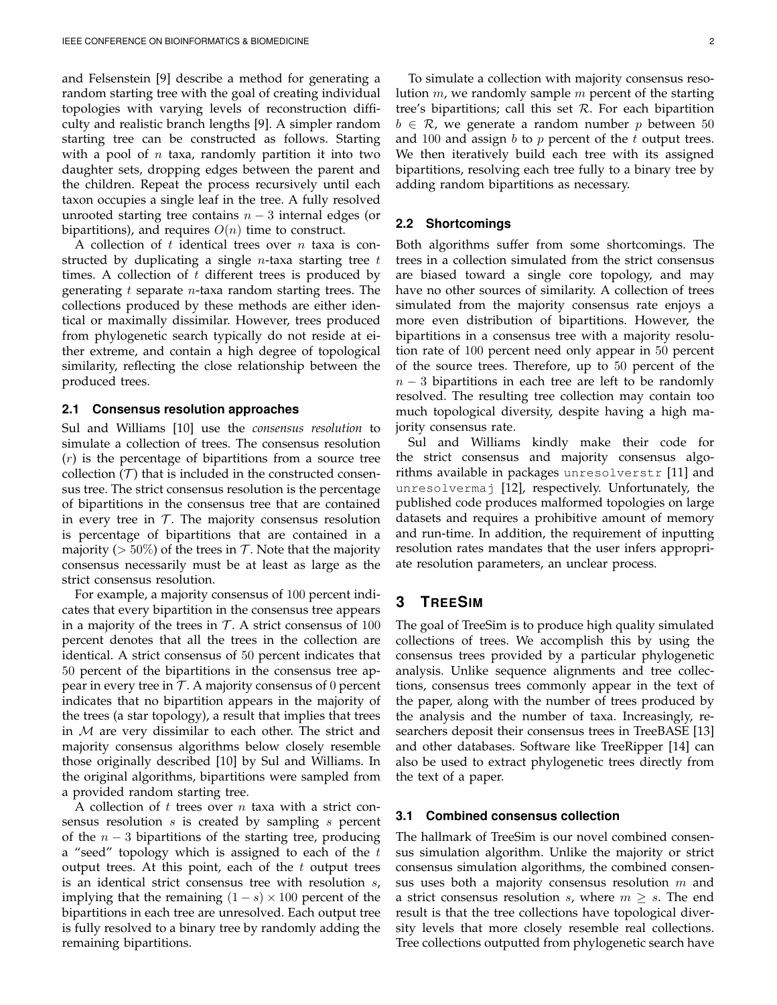and Felsenstein [9] describe a method for generating a random starting tree with the goal of creating individual topologies with varying levels of reconstruction difficulty and realistic branch lengths [9]. A simpler random starting tree can be constructed as follows. Starting with a pool of  $n$  taxa, randomly partition it into two daughter sets, dropping edges between the parent and the children. Repeat the process recursively until each taxon occupies a single leaf in the tree. A fully resolved unrooted starting tree contains  $n - 3$  internal edges (or bipartitions), and requires  $O(n)$  time to construct.

A collection of  $t$  identical trees over  $n$  taxa is constructed by duplicating a single *n*-taxa starting tree  $t$ times. A collection of  $t$  different trees is produced by generating t separate  $n$ -taxa random starting trees. The collections produced by these methods are either identical or maximally dissimilar. However, trees produced from phylogenetic search typically do not reside at either extreme, and contain a high degree of topological similarity, reflecting the close relationship between the produced trees.

#### **2.1 Consensus resolution approaches**

Sul and Williams [10] use the *consensus resolution* to simulate a collection of trees. The consensus resolution  $(r)$  is the percentage of bipartitions from a source tree collection  $(T)$  that is included in the constructed consensus tree. The strict consensus resolution is the percentage of bipartitions in the consensus tree that are contained in every tree in  $\mathcal T$ . The majority consensus resolution is percentage of bipartitions that are contained in a majority ( $> 50\%$ ) of the trees in T. Note that the majority consensus necessarily must be at least as large as the strict consensus resolution.

For example, a majority consensus of 100 percent indicates that every bipartition in the consensus tree appears in a majority of the trees in  $T$ . A strict consensus of 100 percent denotes that all the trees in the collection are identical. A strict consensus of 50 percent indicates that 50 percent of the bipartitions in the consensus tree appear in every tree in  $\mathcal T$ . A majority consensus of 0 percent indicates that no bipartition appears in the majority of the trees (a star topology), a result that implies that trees in  $M$  are very dissimilar to each other. The strict and majority consensus algorithms below closely resemble those originally described [10] by Sul and Williams. In the original algorithms, bipartitions were sampled from a provided random starting tree.

A collection of t trees over n taxa with a strict consensus resolution  $s$  is created by sampling  $s$  percent of the  $n - 3$  bipartitions of the starting tree, producing a "seed" topology which is assigned to each of the  $t$ output trees. At this point, each of the  $t$  output trees is an identical strict consensus tree with resolution s, implying that the remaining  $(1 - s) \times 100$  percent of the bipartitions in each tree are unresolved. Each output tree is fully resolved to a binary tree by randomly adding the remaining bipartitions.

To simulate a collection with majority consensus resolution  $m$ , we randomly sample  $m$  percent of the starting tree's bipartitions; call this set  $R$ . For each bipartition  $b \in \mathcal{R}$ , we generate a random number p between 50 and 100 and assign  $b$  to  $p$  percent of the  $t$  output trees. We then iteratively build each tree with its assigned bipartitions, resolving each tree fully to a binary tree by adding random bipartitions as necessary.

#### **2.2 Shortcomings**

Both algorithms suffer from some shortcomings. The trees in a collection simulated from the strict consensus are biased toward a single core topology, and may have no other sources of similarity. A collection of trees simulated from the majority consensus rate enjoys a more even distribution of bipartitions. However, the bipartitions in a consensus tree with a majority resolution rate of 100 percent need only appear in 50 percent of the source trees. Therefore, up to 50 percent of the  $n-3$  bipartitions in each tree are left to be randomly resolved. The resulting tree collection may contain too much topological diversity, despite having a high majority consensus rate.

Sul and Williams kindly make their code for the strict consensus and majority consensus algorithms available in packages unresolverstr [11] and unresolvermaj [12], respectively. Unfortunately, the published code produces malformed topologies on large datasets and requires a prohibitive amount of memory and run-time. In addition, the requirement of inputting resolution rates mandates that the user infers appropriate resolution parameters, an unclear process.

# **3 TREESIM**

The goal of TreeSim is to produce high quality simulated collections of trees. We accomplish this by using the consensus trees provided by a particular phylogenetic analysis. Unlike sequence alignments and tree collections, consensus trees commonly appear in the text of the paper, along with the number of trees produced by the analysis and the number of taxa. Increasingly, researchers deposit their consensus trees in TreeBASE [13] and other databases. Software like TreeRipper [14] can also be used to extract phylogenetic trees directly from the text of a paper.

#### **3.1 Combined consensus collection**

The hallmark of TreeSim is our novel combined consensus simulation algorithm. Unlike the majority or strict consensus simulation algorithms, the combined consensus uses both a majority consensus resolution  $m$  and a strict consensus resolution s, where  $m \geq s$ . The end result is that the tree collections have topological diversity levels that more closely resemble real collections. Tree collections outputted from phylogenetic search have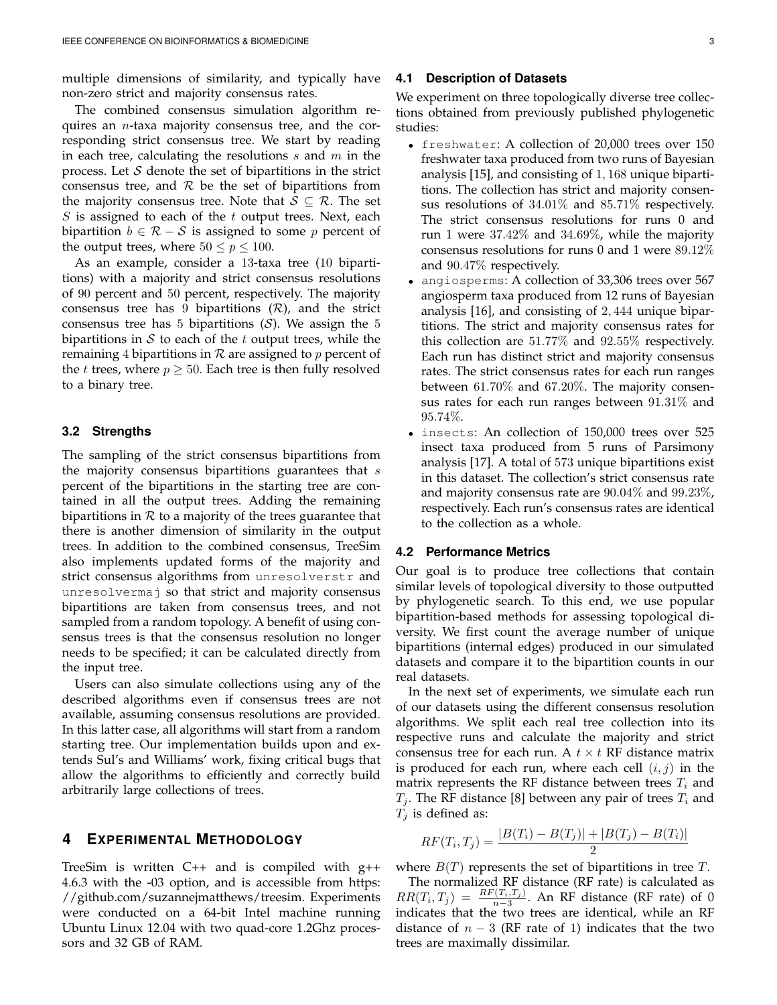multiple dimensions of similarity, and typically have non-zero strict and majority consensus rates.

The combined consensus simulation algorithm requires an n-taxa majority consensus tree, and the corresponding strict consensus tree. We start by reading in each tree, calculating the resolutions  $s$  and  $m$  in the process. Let  $S$  denote the set of bipartitions in the strict consensus tree, and  $R$  be the set of bipartitions from the majority consensus tree. Note that  $S \subseteq \mathcal{R}$ . The set S is assigned to each of the  $t$  output trees. Next, each bipartition  $b \in \mathcal{R} - \mathcal{S}$  is assigned to some p percent of the output trees, where  $50 \le p \le 100$ .

As an example, consider a 13-taxa tree (10 bipartitions) with a majority and strict consensus resolutions of 90 percent and 50 percent, respectively. The majority consensus tree has 9 bipartitions  $(R)$ , and the strict consensus tree has 5 bipartitions  $(S)$ . We assign the 5 bipartitions in  $S$  to each of the t output trees, while the remaining 4 bipartitions in  $R$  are assigned to  $p$  percent of the *t* trees, where  $p \ge 50$ . Each tree is then fully resolved to a binary tree.

#### **3.2 Strengths**

The sampling of the strict consensus bipartitions from the majority consensus bipartitions guarantees that  $s$ percent of the bipartitions in the starting tree are contained in all the output trees. Adding the remaining bipartitions in  $R$  to a majority of the trees guarantee that there is another dimension of similarity in the output trees. In addition to the combined consensus, TreeSim also implements updated forms of the majority and strict consensus algorithms from unresolverstr and unresolvermaj so that strict and majority consensus bipartitions are taken from consensus trees, and not sampled from a random topology. A benefit of using consensus trees is that the consensus resolution no longer needs to be specified; it can be calculated directly from the input tree.

Users can also simulate collections using any of the described algorithms even if consensus trees are not available, assuming consensus resolutions are provided. In this latter case, all algorithms will start from a random starting tree. Our implementation builds upon and extends Sul's and Williams' work, fixing critical bugs that allow the algorithms to efficiently and correctly build arbitrarily large collections of trees.

# **4 EXPERIMENTAL METHODOLOGY**

TreeSim is written C++ and is compiled with g++ 4.6.3 with the -03 option, and is accessible from https: //github.com/suzannejmatthews/treesim. Experiments were conducted on a 64-bit Intel machine running Ubuntu Linux 12.04 with two quad-core 1.2Ghz processors and 32 GB of RAM.

#### **4.1 Description of Datasets**

We experiment on three topologically diverse tree collections obtained from previously published phylogenetic studies:

- freshwater: A collection of 20,000 trees over 150 freshwater taxa produced from two runs of Bayesian analysis [15], and consisting of 1, 168 unique bipartitions. The collection has strict and majority consensus resolutions of 34.01% and 85.71% respectively. The strict consensus resolutions for runs 0 and run 1 were 37.42% and 34.69%, while the majority consensus resolutions for runs 0 and 1 were 89.12% and 90.47% respectively.
- angiosperms: A collection of 33,306 trees over 567 angiosperm taxa produced from 12 runs of Bayesian analysis [16], and consisting of 2, 444 unique bipartitions. The strict and majority consensus rates for this collection are 51.77% and 92.55% respectively. Each run has distinct strict and majority consensus rates. The strict consensus rates for each run ranges between 61.70% and 67.20%. The majority consensus rates for each run ranges between 91.31% and 95.74%.
- insects: An collection of 150,000 trees over 525 insect taxa produced from 5 runs of Parsimony analysis [17]. A total of 573 unique bipartitions exist in this dataset. The collection's strict consensus rate and majority consensus rate are 90.04% and 99.23%, respectively. Each run's consensus rates are identical to the collection as a whole.

#### **4.2 Performance Metrics**

Our goal is to produce tree collections that contain similar levels of topological diversity to those outputted by phylogenetic search. To this end, we use popular bipartition-based methods for assessing topological diversity. We first count the average number of unique bipartitions (internal edges) produced in our simulated datasets and compare it to the bipartition counts in our real datasets.

In the next set of experiments, we simulate each run of our datasets using the different consensus resolution algorithms. We split each real tree collection into its respective runs and calculate the majority and strict consensus tree for each run. A  $t \times t$  RF distance matrix is produced for each run, where each cell  $(i, j)$  in the matrix represents the RF distance between trees  $T_i$  and  $T_j$ . The RF distance [8] between any pair of trees  $T_i$  and  $T_i$  is defined as:

$$
RF(T_i, T_j) = \frac{|B(T_i) - B(T_j)| + |B(T_j) - B(T_i)|}{2}
$$

where  $B(T)$  represents the set of bipartitions in tree T.

The normalized RF distance (RF rate) is calculated as  $RR(T_i, T_j) = \frac{RF(T_i, T_j)}{n-3}$ . An RF distance (RF rate) of 0 indicates that the two trees are identical, while an RF distance of  $n-3$  (RF rate of 1) indicates that the two trees are maximally dissimilar.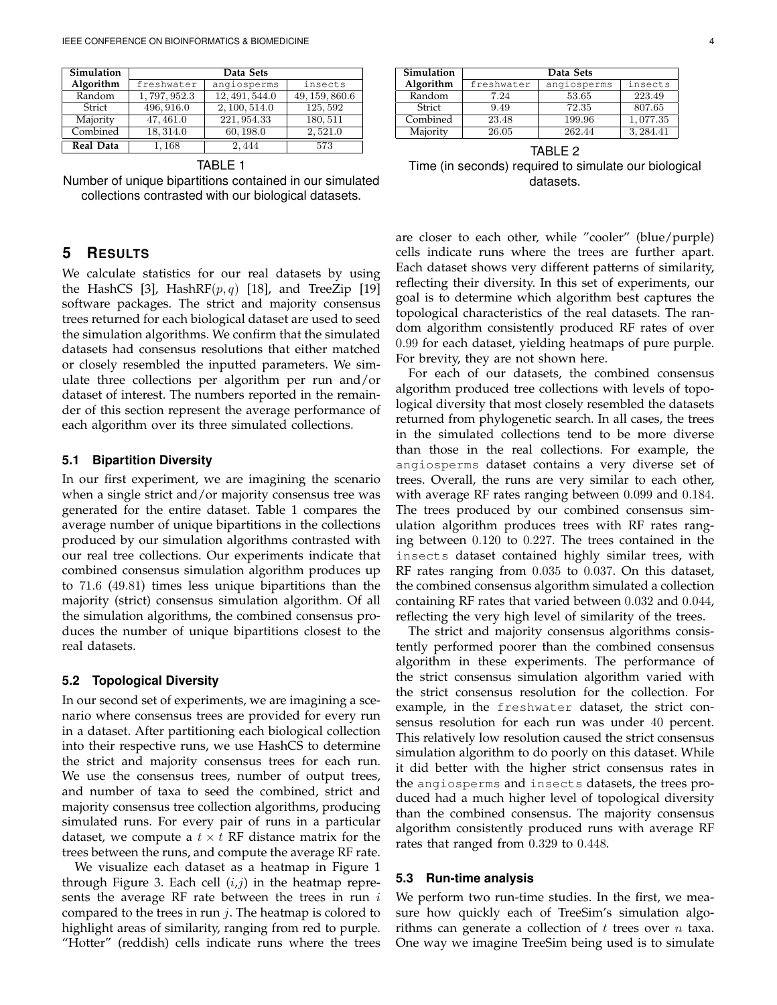| <b>Simulation</b> | Data Sets   |                             |                |  |  |
|-------------------|-------------|-----------------------------|----------------|--|--|
| Algorithm         | freshwater  | angiosperms                 | insects        |  |  |
| Random            | 1,797,952.3 | $\overline{12, 491}, 544.0$ | 49, 159, 860.6 |  |  |
| Strict            | 496, 916.0  | 2,100,514.0                 | 125,592        |  |  |
| Majority          | 47, 461.0   | 221, 954.33                 | 180, 511       |  |  |
| Combined          | 18, 314.0   | 60, 198.0                   | 2,521.0        |  |  |
| Real Data         | 1,168       | 2.444                       | 573            |  |  |

TABLE 1

Number of unique bipartitions contained in our simulated collections contrasted with our biological datasets.

# **5 RESULTS**

We calculate statistics for our real datasets by using the HashCS [3], HashRF $(p, q)$  [18], and TreeZip [19] software packages. The strict and majority consensus trees returned for each biological dataset are used to seed the simulation algorithms. We confirm that the simulated datasets had consensus resolutions that either matched or closely resembled the inputted parameters. We simulate three collections per algorithm per run and/or dataset of interest. The numbers reported in the remainder of this section represent the average performance of each algorithm over its three simulated collections.

#### **5.1 Bipartition Diversity**

In our first experiment, we are imagining the scenario when a single strict and/or majority consensus tree was generated for the entire dataset. Table 1 compares the average number of unique bipartitions in the collections produced by our simulation algorithms contrasted with our real tree collections. Our experiments indicate that combined consensus simulation algorithm produces up to 71.6 (49.81) times less unique bipartitions than the majority (strict) consensus simulation algorithm. Of all the simulation algorithms, the combined consensus produces the number of unique bipartitions closest to the real datasets.

#### **5.2 Topological Diversity**

In our second set of experiments, we are imagining a scenario where consensus trees are provided for every run in a dataset. After partitioning each biological collection into their respective runs, we use HashCS to determine the strict and majority consensus trees for each run. We use the consensus trees, number of output trees, and number of taxa to seed the combined, strict and majority consensus tree collection algorithms, producing simulated runs. For every pair of runs in a particular dataset, we compute a  $t \times t$  RF distance matrix for the trees between the runs, and compute the average RF rate.

We visualize each dataset as a heatmap in Figure 1 through Figure 3. Each cell  $(i,j)$  in the heatmap represents the average RF rate between the trees in run  $i$ compared to the trees in run  $j$ . The heatmap is colored to highlight areas of similarity, ranging from red to purple. "Hotter" (reddish) cells indicate runs where the trees

| Simulation | Data Sets  |             |          |  |
|------------|------------|-------------|----------|--|
| Algorithm  | freshwater | angiosperms | insects  |  |
| Random     | 7.24       | 53.65       | 223.49   |  |
| Strict     | 9.49       | 72.35       | 807.65   |  |
| Combined   | 23.48      | 199.96      | 1,077.35 |  |
| Majority   | 26.05      | 262.44      | 3.284.41 |  |

TABLE 2 Time (in seconds) required to simulate our biological datasets.

are closer to each other, while "cooler" (blue/purple) cells indicate runs where the trees are further apart. Each dataset shows very different patterns of similarity, reflecting their diversity. In this set of experiments, our goal is to determine which algorithm best captures the topological characteristics of the real datasets. The random algorithm consistently produced RF rates of over 0.99 for each dataset, yielding heatmaps of pure purple. For brevity, they are not shown here.

For each of our datasets, the combined consensus algorithm produced tree collections with levels of topological diversity that most closely resembled the datasets returned from phylogenetic search. In all cases, the trees in the simulated collections tend to be more diverse than those in the real collections. For example, the angiosperms dataset contains a very diverse set of trees. Overall, the runs are very similar to each other, with average RF rates ranging between 0.099 and 0.184. The trees produced by our combined consensus simulation algorithm produces trees with RF rates ranging between 0.120 to 0.227. The trees contained in the insects dataset contained highly similar trees, with RF rates ranging from 0.035 to 0.037. On this dataset, the combined consensus algorithm simulated a collection containing RF rates that varied between 0.032 and 0.044, reflecting the very high level of similarity of the trees.

The strict and majority consensus algorithms consistently performed poorer than the combined consensus algorithm in these experiments. The performance of the strict consensus simulation algorithm varied with the strict consensus resolution for the collection. For example, in the freshwater dataset, the strict consensus resolution for each run was under 40 percent. This relatively low resolution caused the strict consensus simulation algorithm to do poorly on this dataset. While it did better with the higher strict consensus rates in the angiosperms and insects datasets, the trees produced had a much higher level of topological diversity than the combined consensus. The majority consensus algorithm consistently produced runs with average RF rates that ranged from 0.329 to 0.448.

#### **5.3 Run-time analysis**

We perform two run-time studies. In the first, we measure how quickly each of TreeSim's simulation algorithms can generate a collection of  $t$  trees over  $n$  taxa. One way we imagine TreeSim being used is to simulate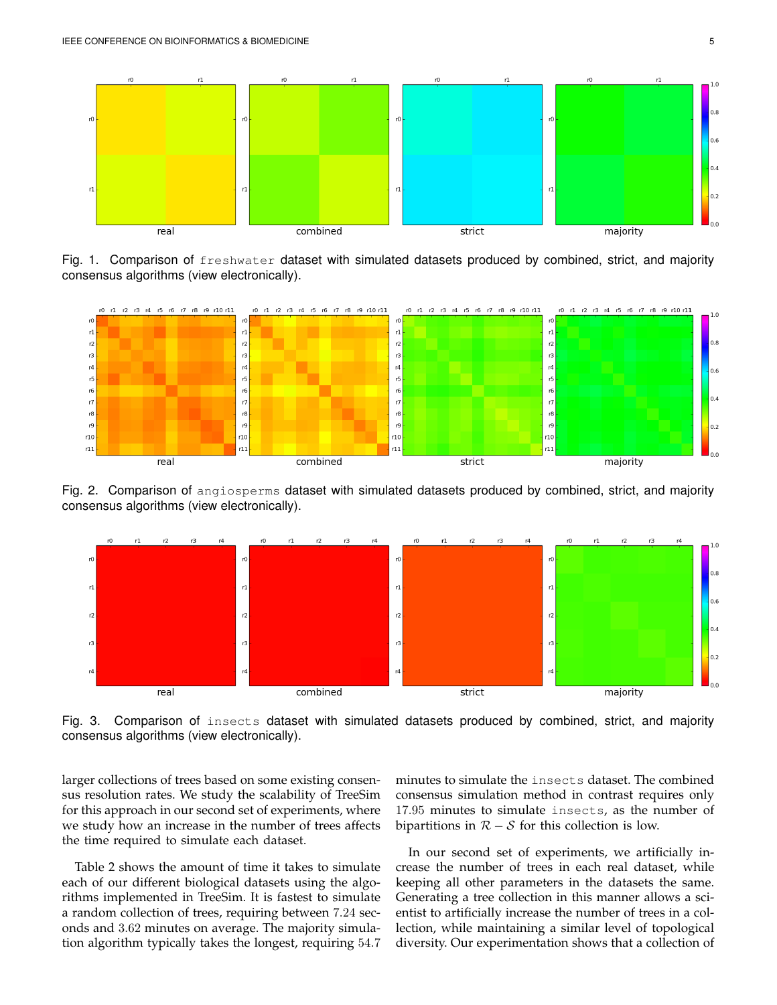

Fig. 1. Comparison of freshwater dataset with simulated datasets produced by combined, strict, and majority consensus algorithms (view electronically).



Fig. 2. Comparison of angiosperms dataset with simulated datasets produced by combined, strict, and majority consensus algorithms (view electronically).



Fig. 3. Comparison of insects dataset with simulated datasets produced by combined, strict, and majority consensus algorithms (view electronically).

larger collections of trees based on some existing consensus resolution rates. We study the scalability of TreeSim for this approach in our second set of experiments, where we study how an increase in the number of trees affects the time required to simulate each dataset.

Table 2 shows the amount of time it takes to simulate each of our different biological datasets using the algorithms implemented in TreeSim. It is fastest to simulate a random collection of trees, requiring between 7.24 seconds and 3.62 minutes on average. The majority simulation algorithm typically takes the longest, requiring 54.7 minutes to simulate the insects dataset. The combined consensus simulation method in contrast requires only 17.95 minutes to simulate insects, as the number of bipartitions in  $R - S$  for this collection is low.

In our second set of experiments, we artificially increase the number of trees in each real dataset, while keeping all other parameters in the datasets the same. Generating a tree collection in this manner allows a scientist to artificially increase the number of trees in a collection, while maintaining a similar level of topological diversity. Our experimentation shows that a collection of